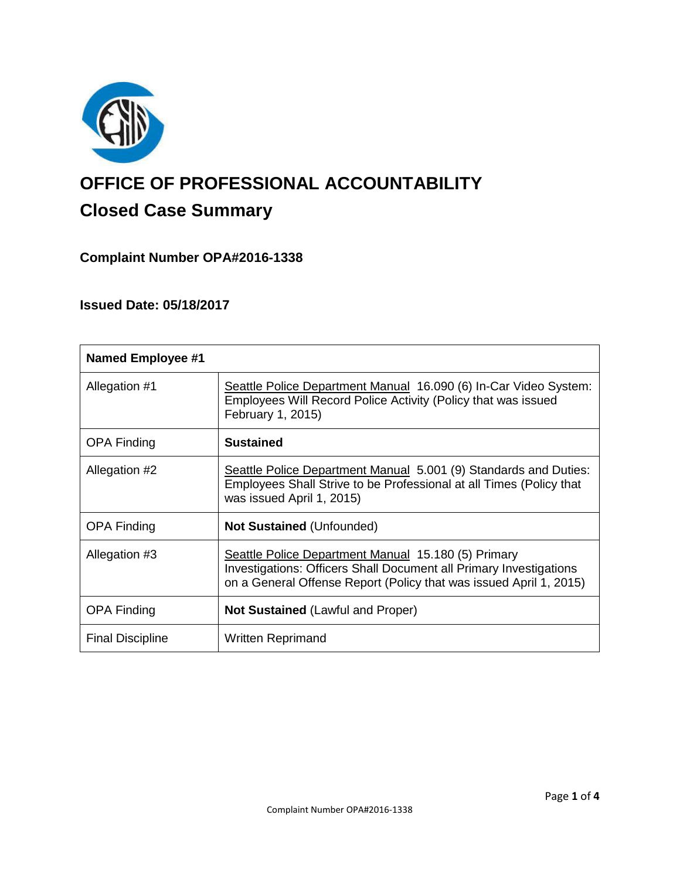

# **OFFICE OF PROFESSIONAL ACCOUNTABILITY Closed Case Summary**

# **Complaint Number OPA#2016-1338**

# **Issued Date: 05/18/2017**

| <b>Named Employee #1</b> |                                                                                                                                                                                                        |
|--------------------------|--------------------------------------------------------------------------------------------------------------------------------------------------------------------------------------------------------|
| Allegation #1            | Seattle Police Department Manual 16.090 (6) In-Car Video System:<br>Employees Will Record Police Activity (Policy that was issued<br>February 1, 2015)                                                 |
| <b>OPA Finding</b>       | <b>Sustained</b>                                                                                                                                                                                       |
| Allegation #2            | Seattle Police Department Manual 5.001 (9) Standards and Duties:<br>Employees Shall Strive to be Professional at all Times (Policy that<br>was issued April 1, 2015)                                   |
| <b>OPA Finding</b>       | <b>Not Sustained (Unfounded)</b>                                                                                                                                                                       |
| Allegation #3            | Seattle Police Department Manual 15.180 (5) Primary<br><b>Investigations: Officers Shall Document all Primary Investigations</b><br>on a General Offense Report (Policy that was issued April 1, 2015) |
| <b>OPA Finding</b>       | <b>Not Sustained (Lawful and Proper)</b>                                                                                                                                                               |
| <b>Final Discipline</b>  | <b>Written Reprimand</b>                                                                                                                                                                               |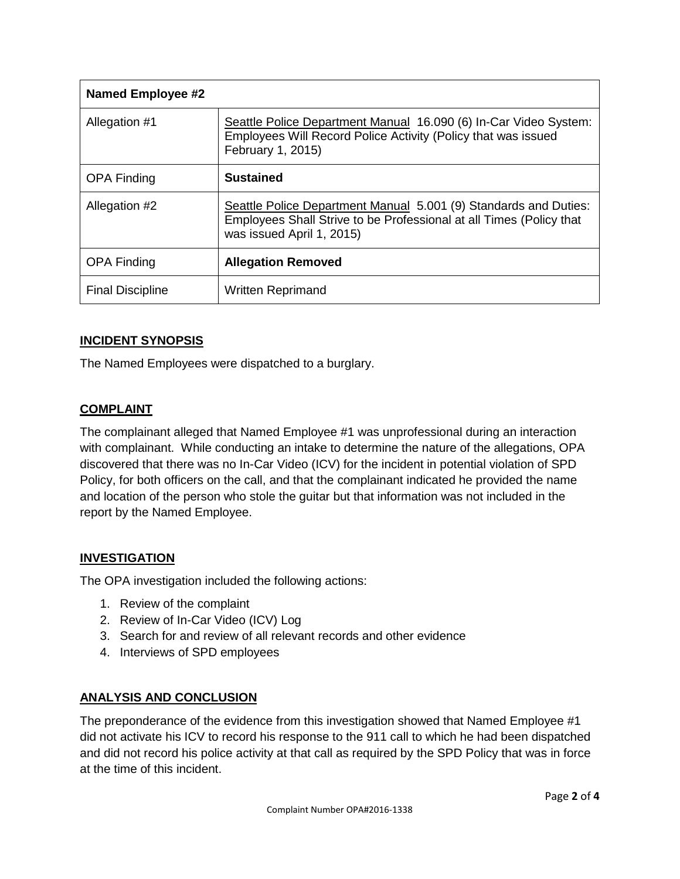| <b>Named Employee #2</b> |                                                                                                                                                                      |
|--------------------------|----------------------------------------------------------------------------------------------------------------------------------------------------------------------|
| Allegation #1            | Seattle Police Department Manual 16.090 (6) In-Car Video System:<br>Employees Will Record Police Activity (Policy that was issued<br>February 1, 2015)               |
| <b>OPA Finding</b>       | <b>Sustained</b>                                                                                                                                                     |
| Allegation #2            | Seattle Police Department Manual 5.001 (9) Standards and Duties:<br>Employees Shall Strive to be Professional at all Times (Policy that<br>was issued April 1, 2015) |
| <b>OPA Finding</b>       | <b>Allegation Removed</b>                                                                                                                                            |
| <b>Final Discipline</b>  | <b>Written Reprimand</b>                                                                                                                                             |

# **INCIDENT SYNOPSIS**

The Named Employees were dispatched to a burglary.

# **COMPLAINT**

The complainant alleged that Named Employee #1 was unprofessional during an interaction with complainant. While conducting an intake to determine the nature of the allegations, OPA discovered that there was no In-Car Video (ICV) for the incident in potential violation of SPD Policy, for both officers on the call, and that the complainant indicated he provided the name and location of the person who stole the guitar but that information was not included in the report by the Named Employee.

# **INVESTIGATION**

The OPA investigation included the following actions:

- 1. Review of the complaint
- 2. Review of In-Car Video (ICV) Log
- 3. Search for and review of all relevant records and other evidence
- 4. Interviews of SPD employees

# **ANALYSIS AND CONCLUSION**

The preponderance of the evidence from this investigation showed that Named Employee #1 did not activate his ICV to record his response to the 911 call to which he had been dispatched and did not record his police activity at that call as required by the SPD Policy that was in force at the time of this incident.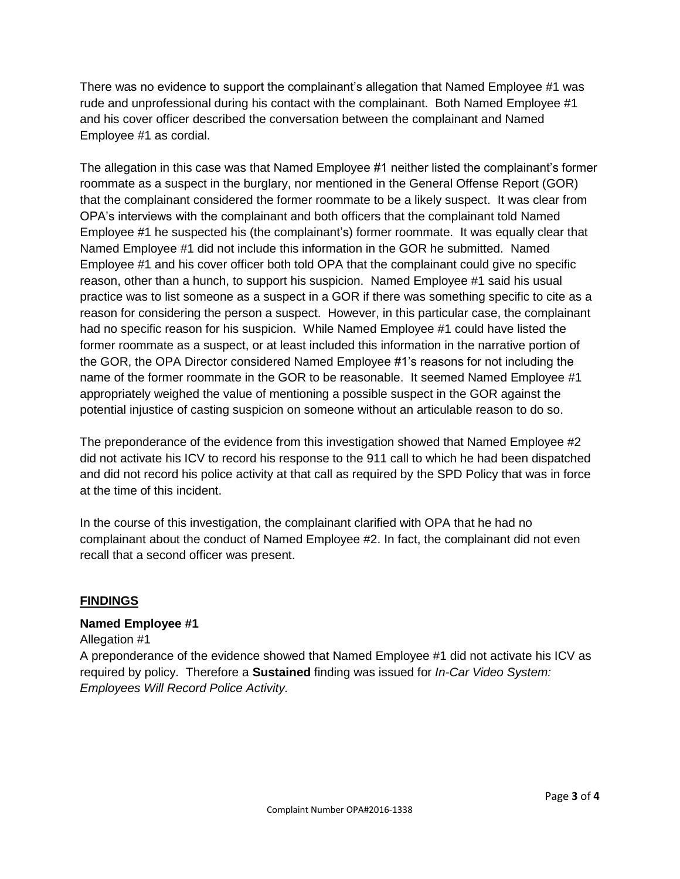There was no evidence to support the complainant's allegation that Named Employee #1 was rude and unprofessional during his contact with the complainant. Both Named Employee #1 and his cover officer described the conversation between the complainant and Named Employee #1 as cordial.

The allegation in this case was that Named Employee #1 neither listed the complainant's former roommate as a suspect in the burglary, nor mentioned in the General Offense Report (GOR) that the complainant considered the former roommate to be a likely suspect. It was clear from OPA's interviews with the complainant and both officers that the complainant told Named Employee #1 he suspected his (the complainant's) former roommate. It was equally clear that Named Employee #1 did not include this information in the GOR he submitted. Named Employee #1 and his cover officer both told OPA that the complainant could give no specific reason, other than a hunch, to support his suspicion. Named Employee #1 said his usual practice was to list someone as a suspect in a GOR if there was something specific to cite as a reason for considering the person a suspect. However, in this particular case, the complainant had no specific reason for his suspicion. While Named Employee #1 could have listed the former roommate as a suspect, or at least included this information in the narrative portion of the GOR, the OPA Director considered Named Employee #1's reasons for not including the name of the former roommate in the GOR to be reasonable. It seemed Named Employee #1 appropriately weighed the value of mentioning a possible suspect in the GOR against the potential injustice of casting suspicion on someone without an articulable reason to do so.

The preponderance of the evidence from this investigation showed that Named Employee #2 did not activate his ICV to record his response to the 911 call to which he had been dispatched and did not record his police activity at that call as required by the SPD Policy that was in force at the time of this incident.

In the course of this investigation, the complainant clarified with OPA that he had no complainant about the conduct of Named Employee #2. In fact, the complainant did not even recall that a second officer was present.

# **FINDINGS**

#### **Named Employee #1**

Allegation #1

A preponderance of the evidence showed that Named Employee #1 did not activate his ICV as required by policy. Therefore a **Sustained** finding was issued for *In-Car Video System: Employees Will Record Police Activity.*